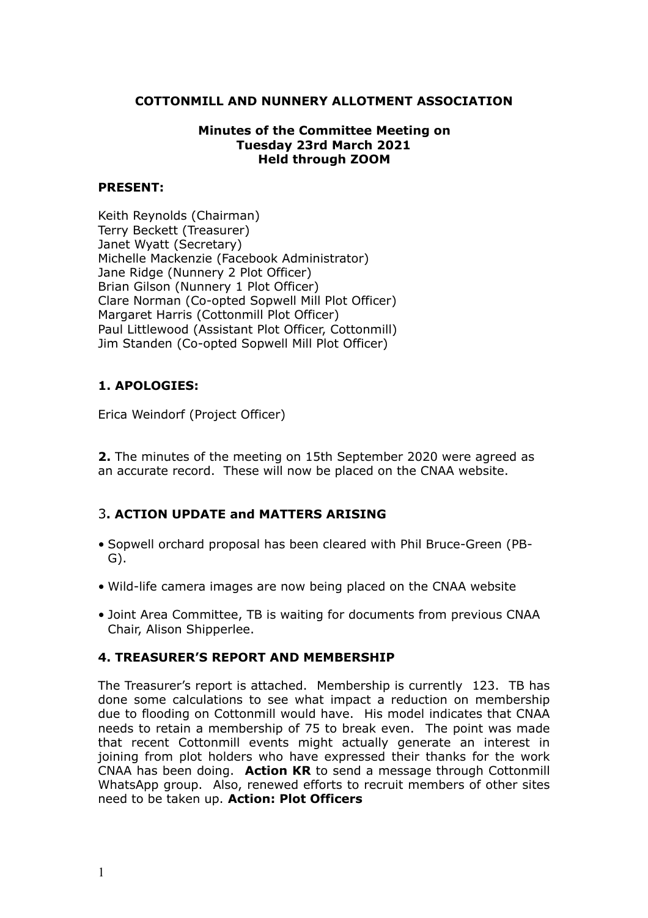### **COTTONMILL AND NUNNERY ALLOTMENT ASSOCIATION**

## **Minutes of the Committee Meeting on Tuesday 23rd March 2021 Held through ZOOM**

### **PRESENT:**

Keith Reynolds (Chairman) Terry Beckett (Treasurer) Janet Wyatt (Secretary) Michelle Mackenzie (Facebook Administrator) Jane Ridge (Nunnery 2 Plot Officer) Brian Gilson (Nunnery 1 Plot Officer) Clare Norman (Co-opted Sopwell Mill Plot Officer) Margaret Harris (Cottonmill Plot Officer) Paul Littlewood (Assistant Plot Officer, Cottonmill) Jim Standen (Co-opted Sopwell Mill Plot Officer)

# **1. APOLOGIES:**

Erica Weindorf (Project Officer)

**2.** The minutes of the meeting on 15th September 2020 were agreed as an accurate record. These will now be placed on the CNAA website.

# 3**. ACTION UPDATE and MATTERS ARISING**

- Sopwell orchard proposal has been cleared with Phil Bruce-Green (PB-G).
- Wild-life camera images are now being placed on the CNAA website
- Joint Area Committee, TB is waiting for documents from previous CNAA Chair, Alison Shipperlee.

#### **4. TREASURER'S REPORT AND MEMBERSHIP**

The Treasurer's report is attached. Membership is currently 123. TB has done some calculations to see what impact a reduction on membership due to flooding on Cottonmill would have. His model indicates that CNAA needs to retain a membership of 75 to break even. The point was made that recent Cottonmill events might actually generate an interest in joining from plot holders who have expressed their thanks for the work CNAA has been doing. **Action KR** to send a message through Cottonmill WhatsApp group. Also, renewed efforts to recruit members of other sites need to be taken up. **Action: Plot Officers**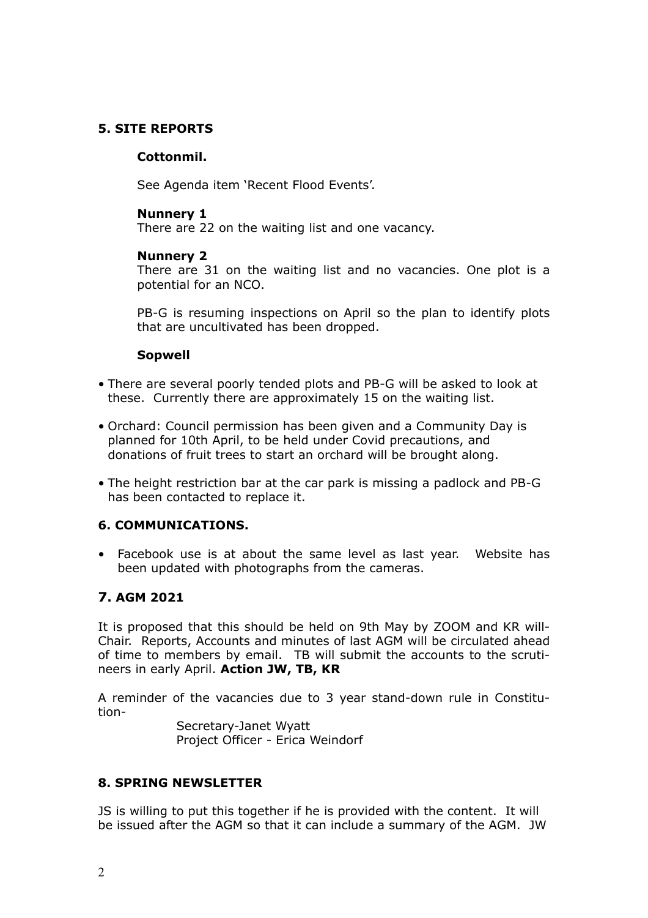# **5. SITE REPORTS**

# **Cottonmil.**

See Agenda item 'Recent Flood Events'.

## **Nunnery 1**

There are 22 on the waiting list and one vacancy.

## **Nunnery 2**

There are 31 on the waiting list and no vacancies. One plot is a potential for an NCO.

PB-G is resuming inspections on April so the plan to identify plots that are uncultivated has been dropped.

## **Sopwell**

- There are several poorly tended plots and PB-G will be asked to look at these. Currently there are approximately 15 on the waiting list.
- Orchard: Council permission has been given and a Community Day is planned for 10th April, to be held under Covid precautions, and donations of fruit trees to start an orchard will be brought along.
- The height restriction bar at the car park is missing a padlock and PB-G has been contacted to replace it.

#### **6. COMMUNICATIONS.**

• Facebook use is at about the same level as last year. Website has been updated with photographs from the cameras.

# **7. AGM 2021**

It is proposed that this should be held on 9th May by ZOOM and KR will-Chair. Reports, Accounts and minutes of last AGM will be circulated ahead of time to members by email. TB will submit the accounts to the scrutineers in early April. **Action JW, TB, KR**

A reminder of the vacancies due to 3 year stand-down rule in Constitution-

> Secretary-Janet Wyatt Project Officer - Erica Weindorf

# **8. SPRING NEWSLETTER**

JS is willing to put this together if he is provided with the content. It will be issued after the AGM so that it can include a summary of the AGM. JW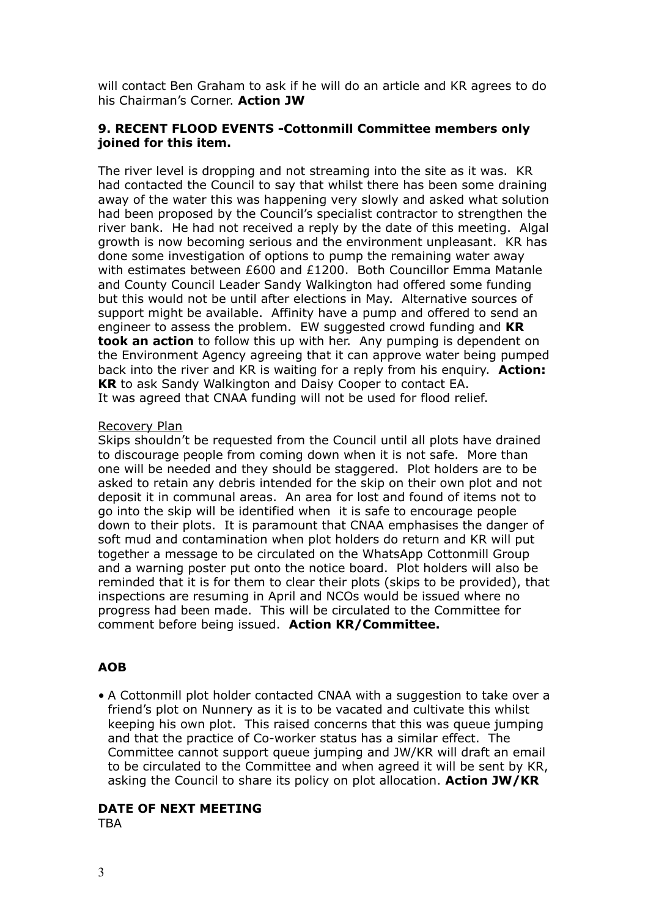will contact Ben Graham to ask if he will do an article and KR agrees to do his Chairman's Corner. **Action JW**

#### **9. RECENT FLOOD EVENTS -Cottonmill Committee members only joined for this item.**

The river level is dropping and not streaming into the site as it was. KR had contacted the Council to say that whilst there has been some draining away of the water this was happening very slowly and asked what solution had been proposed by the Council's specialist contractor to strengthen the river bank. He had not received a reply by the date of this meeting. Algal growth is now becoming serious and the environment unpleasant. KR has done some investigation of options to pump the remaining water away with estimates between £600 and £1200. Both Councillor Emma Matanle and County Council Leader Sandy Walkington had offered some funding but this would not be until after elections in May. Alternative sources of support might be available. Affinity have a pump and offered to send an engineer to assess the problem. EW suggested crowd funding and **KR took an action** to follow this up with her. Any pumping is dependent on the Environment Agency agreeing that it can approve water being pumped back into the river and KR is waiting for a reply from his enquiry. **Action: KR** to ask Sandy Walkington and Daisy Cooper to contact EA. It was agreed that CNAA funding will not be used for flood relief.

#### Recovery Plan

Skips shouldn't be requested from the Council until all plots have drained to discourage people from coming down when it is not safe. More than one will be needed and they should be staggered. Plot holders are to be asked to retain any debris intended for the skip on their own plot and not deposit it in communal areas. An area for lost and found of items not to go into the skip will be identified when it is safe to encourage people down to their plots. It is paramount that CNAA emphasises the danger of soft mud and contamination when plot holders do return and KR will put together a message to be circulated on the WhatsApp Cottonmill Group and a warning poster put onto the notice board. Plot holders will also be reminded that it is for them to clear their plots (skips to be provided), that inspections are resuming in April and NCOs would be issued where no progress had been made. This will be circulated to the Committee for comment before being issued. **Action KR/Committee.** 

# **AOB**

• A Cottonmill plot holder contacted CNAA with a suggestion to take over a friend's plot on Nunnery as it is to be vacated and cultivate this whilst keeping his own plot. This raised concerns that this was queue jumping and that the practice of Co-worker status has a similar effect. The Committee cannot support queue jumping and JW/KR will draft an email to be circulated to the Committee and when agreed it will be sent by KR, asking the Council to share its policy on plot allocation. **Action JW/KR**

# **DATE OF NEXT MEETING**

**TRA**